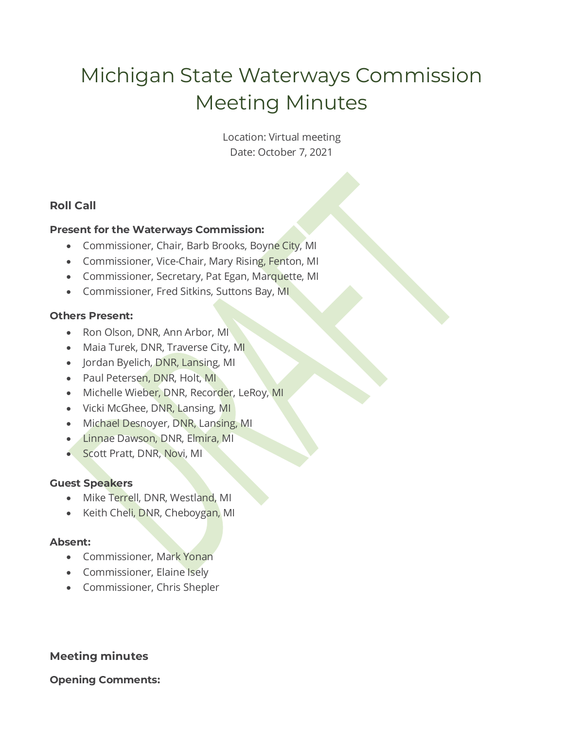# Michigan State Waterways Commission Meeting Minutes

Location: Virtual meeting Date: October 7, 2021

# **Roll Call**

## **Present for the Waterways Commission:**

- Commissioner, Chair, Barb Brooks, Boyne City, MI
- Commissioner, Vice-Chair, Mary Rising, Fenton, MI
- Commissioner, Secretary, Pat Egan, Marquette, MI
- Commissioner, Fred Sitkins, Suttons Bay, MI

### **Others Present:**

- Ron Olson, DNR, Ann Arbor, MI
- Maia Turek, DNR, Traverse City, MI
- Jordan Byelich, DNR, Lansing, MI
- Paul Petersen, DNR, Holt, MI
- Michelle Wieber, DNR, Recorder, LeRoy, MI
- Vicki McGhee, DNR, Lansing, MI
- Michael Desnoyer, DNR, Lansing, MI
- Linnae Dawson, DNR, Elmira, MI
- Scott Pratt, DNR, Novi, MI

## **Guest Speakers**

- Mike Terrell, DNR, Westland, MI
- Keith Cheli, DNR, Cheboygan, MI

## **Absent:**

- Commissioner, Mark Yonan
- Commissioner, Elaine Isely
- Commissioner, Chris Shepler

# **Meeting minutes**

## **Opening Comments:**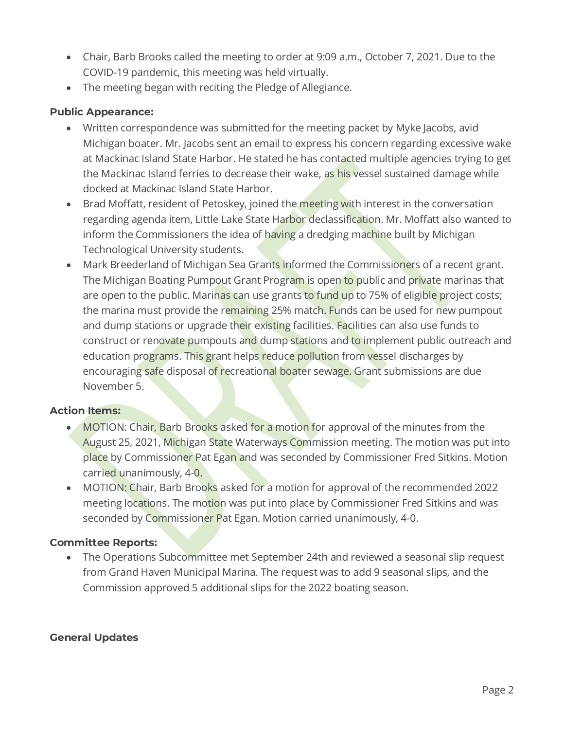- Chair, Barb Brooks called the meeting to order at 9:09 a.m., October 7, 2021. Due to the COVID-19 pandemic, this meeting was held virtually.
- The meeting began with reciting the Pledge of Allegiance.

## **Public Appearance:**

- Written correspondence was submitted for the meeting packet by Myke Jacobs, avid Michigan boater. Mr. Jacobs sent an email to express his concern regarding excessive wake at Mackinac Island State Harbor. He stated he has contacted multiple agencies trying to get the Mackinac Island ferries to decrease their wake, as his vessel sustained damage while docked at Mackinac Island State Harbor.
- Brad Moffatt, resident of Petoskey, joined the meeting with interest in the conversation regarding agenda item, Little Lake State Harbor declassification. Mr. Moffatt also wanted to inform the Commissioners the idea of having a dredging machine built by Michigan Technological University students.
- Mark Breederland of Michigan Sea Grants informed the Commissioners of a recent grant. The Michigan Boating Pumpout Grant Program is open to public and private marinas that are open to the public. Marinas can use grants to fund up to 75% of eligible project costs; the marina must provide the remaining 25% match. Funds can be used for new pumpout and dump stations or upgrade their existing facilities. Facilities can also use funds to construct or renovate pumpouts and dump stations and to implement public outreach and education programs. This grant helps reduce pollution from vessel discharges by encouraging safe disposal of recreational boater sewage. Grant submissions are due November 5.

#### **Action Items:**

- MOTION: Chair, Barb Brooks asked for a motion for approval of the minutes from the August 25, 2021, Michigan State Waterways Commission meeting. The motion was put into place by Commissioner Pat Egan and was seconded by Commissioner Fred Sitkins. Motion carried unanimously, 4-0.
- MOTION: Chair, Barb Brooks asked for a motion for approval of the recommended 2022 meeting locations. The motion was put into place by Commissioner Fred Sitkins and was seconded by Commissioner Pat Egan. Motion carried unanimously, 4-0.

#### **Committee Reports:**

• The Operations Subcommittee met September 24th and reviewed a seasonal slip request from Grand Haven Municipal Marina. The request was to add 9 seasonal slips, and the Commission approved 5 additional slips for the 2022 boating season.

#### **General Updates**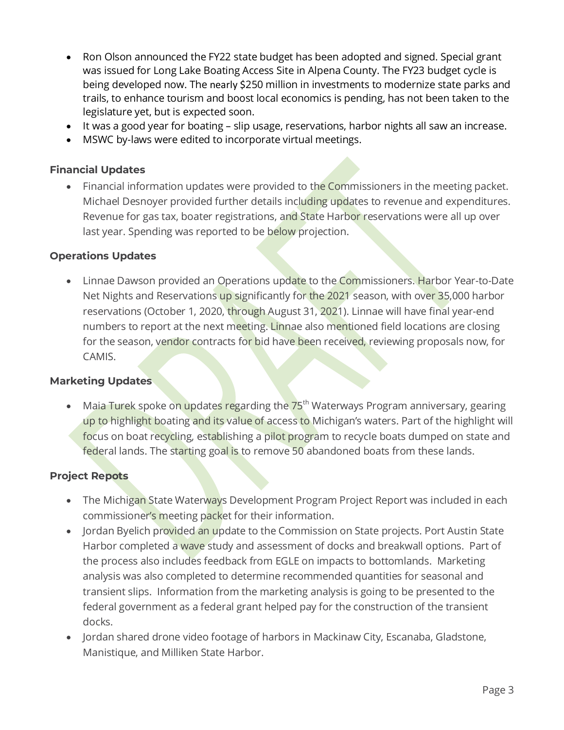- Ron Olson announced the FY22 state budget has been adopted and signed. Special grant was issued for Long Lake Boating Access Site in Alpena County. The FY23 budget cycle is being developed now. The nearly \$250 million in investments to modernize state parks and trails, to enhance tourism and boost local economics is pending, has not been taken to the legislature yet, but is expected soon.
- It was a good year for boating slip usage, reservations, harbor nights all saw an increase.
- MSWC by-laws were edited to incorporate virtual meetings.

#### **Financial Updates**

Financial information updates were provided to the Commissioners in the meeting packet. Michael Desnoyer provided further details including updates to revenue and expenditures. Revenue for gas tax, boater registrations, and State Harbor reservations were all up over last year. Spending was reported to be below projection.

#### **Operations Updates**

• Linnae Dawson provided an Operations update to the Commissioners. Harbor Year-to-Date Net Nights and Reservations up significantly for the 2021 season, with over 35,000 harbor reservations (October 1, 2020, through August 31, 2021). Linnae will have final year-end numbers to report at the next meeting. Linnae also mentioned field locations are closing for the season, vendor contracts for bid have been received, reviewing proposals now, for CAMIS.

#### **Marketing Updates**

• Maia Turek spoke on updates regarding the 75<sup>th</sup> Waterways Program anniversary, gearing up to highlight boating and its value of access to Michigan's waters. Part of the highlight will focus on boat recycling, establishing a pilot program to recycle boats dumped on state and federal lands. The starting goal is to remove 50 abandoned boats from these lands.

#### **Project Repots**

- The Michigan State Waterways Development Program Project Report was included in each commissioner's meeting packet for their information.
- Jordan Byelich provided an update to the Commission on State projects. Port Austin State Harbor completed a wave study and assessment of docks and breakwall options. Part of the process also includes feedback from EGLE on impacts to bottomlands. Marketing analysis was also completed to determine recommended quantities for seasonal and transient slips. Information from the marketing analysis is going to be presented to the federal government as a federal grant helped pay for the construction of the transient docks.
- Jordan shared drone video footage of harbors in Mackinaw City, Escanaba, Gladstone, Manistique, and Milliken State Harbor.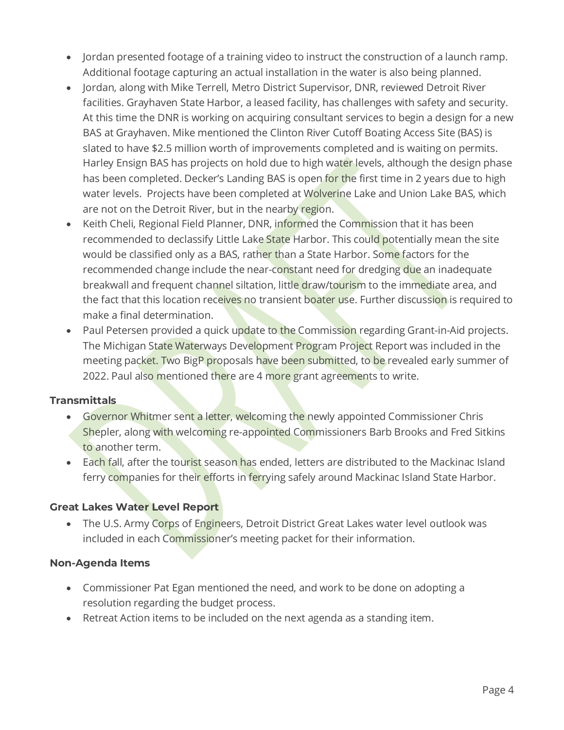- Jordan presented footage of a training video to instruct the construction of a launch ramp. Additional footage capturing an actual installation in the water is also being planned.
- Jordan, along with Mike Terrell, Metro District Supervisor, DNR, reviewed Detroit River facilities. Grayhaven State Harbor, a leased facility, has challenges with safety and security. At this time the DNR is working on acquiring consultant services to begin a design for a new BAS at Grayhaven. Mike mentioned the Clinton River Cutoff Boating Access Site (BAS) is slated to have \$2.5 million worth of improvements completed and is waiting on permits. Harley Ensign BAS has projects on hold due to high water levels, although the design phase has been completed. Decker's Landing BAS is open for the first time in 2 years due to high water levels. Projects have been completed at Wolverine Lake and Union Lake BAS, which are not on the Detroit River, but in the nearby region.
- Keith Cheli, Regional Field Planner, DNR, informed the Commission that it has been recommended to declassify Little Lake State Harbor. This could potentially mean the site would be classified only as a BAS, rather than a State Harbor. Some factors for the recommended change include the near-constant need for dredging due an inadequate breakwall and frequent channel siltation, little draw/tourism to the immediate area, and the fact that this location receives no transient boater use. Further discussion is required to make a final determination.
- Paul Petersen provided a quick update to the Commission regarding Grant-in-Aid projects. The Michigan State Waterways Development Program Project Report was included in the meeting packet. Two BigP proposals have been submitted, to be revealed early summer of 2022. Paul also mentioned there are 4 more grant agreements to write.

#### **Transmittals**

- Governor Whitmer sent a letter, welcoming the newly appointed Commissioner Chris Shepler, along with welcoming re-appointed Commissioners Barb Brooks and Fred Sitkins to another term.
- Each fall, after the tourist season has ended, letters are distributed to the Mackinac Island ferry companies for their efforts in ferrying safely around Mackinac Island State Harbor.

## **Great Lakes Water Level Report**

• The U.S. Army Corps of Engineers, Detroit District Great Lakes water level outlook was included in each Commissioner's meeting packet for their information.

## **Non-Agenda Items**

- Commissioner Pat Egan mentioned the need, and work to be done on adopting a resolution regarding the budget process.
- Retreat Action items to be included on the next agenda as a standing item.